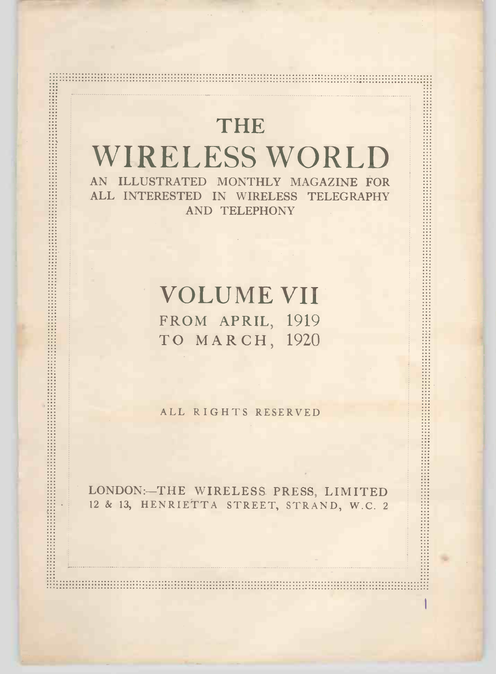# THE WIRELESS WORLD

AN ILLUSTRATED MONTHLY MAGAZINE FOR ALL INTERESTED IN WIRELESS TELEGRAPHY AND TELEPHONY

## VOLUME VII FROM APRIL, 1919 TO MARCH, 1920

ALL RIGHTS RESERVED

LONDON:--THE WIRELESS PRESS, LIMITED 12 & 13, HENRIETTA STREET, STRAND, W.C. 2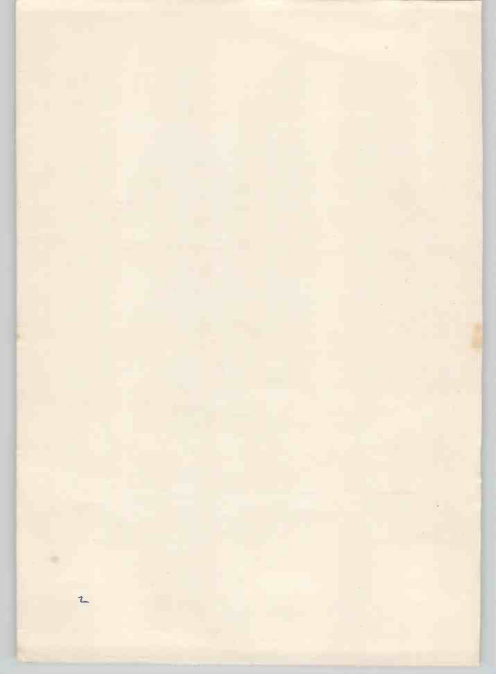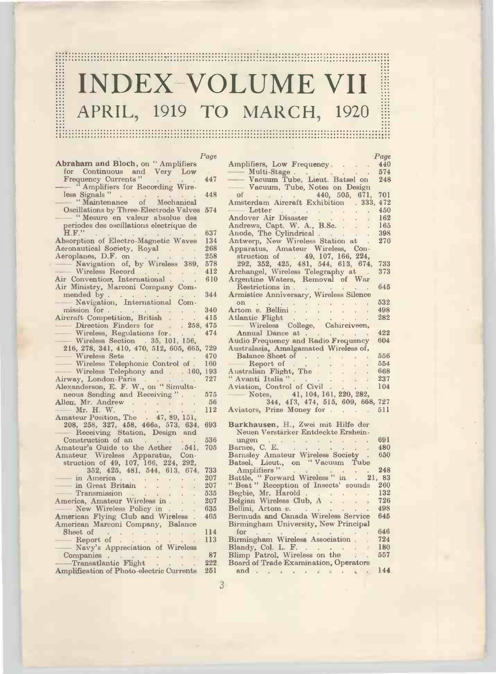# INDEX-VOLUME VII APRIL, 1919 TO MARCH, 1920

Page Page Abraham and Bloch, on "Amplifiers Amplifiers, Low Frequency. . . . . 440<br>for Continuous and Very Low <u>Amplifiers, Multi-Stage</u> for Continuous and Very Low \_\_\_ Multi-Stage . 574<br>Frequency Currents . 447 \_\_\_ Vacuum Tube, Lieut. Batsel on 248 Frequency Currents" . . . . <sup>447</sup> - Vacuum Tube, Lieut. Batsel on <sup>248</sup> -- " Amplifiers for Recording Wire.<br>
-- " Amplifiers for Recording Wire.<br>
-- " Maintenance of Mechanical Amsterdam Aircraft Exhibition . 333, 472<br>
-- " Maintenance of Mechanical Amsterdam Aircraft Exhibition . 333, 472<br>
--Oscillations by Three-Electrode Valves 574 Letter 450<br>
- "Mesure en valeur absolue des Andover Air Disaster 450 "Mesure en valeur absolue des Andover Air Disaster . . . . 162 periodes des oscillations electrique de Andrews, Capt. W. A., B.Sc. . . . 165 H.F." 637 Anode, The Cylindrical 398 Absorption of Electro-Magnetic Waves 134 Antwerp, New Wireless Station at . 270 Aeronautical Society, Royal . . . 268 Apparatus, Amateur Wireless, Con-Aeroplanes, D.F. on 258 struction of . 49, 107, 166, 224,<br>
Wireless Record 412 Archangel, Wireless Telegraphy at . 373<br>
Wireless Record 412 Archangel, Wireless Telegraphy at . 373 Navigation of, by Wireless 389, 578 292, 352, 425, 481, 544, 613, 674, 733<br>Wireless Record (12) Archangel, Wireless Telegraphy at 373<br>Air Convention, International (12) Archangel, Wireless Telegraphy at 373<br>Air Ministry, M mission for the structure of the Sandy of the Sandy Street Competition, British 498<br>interaft Competition, British 498 Artom v. Bellini 498<br>interaft Competition, British 415 Atlantic Flight 41. Aircraft Competition, British . . . <sup>415</sup> Atlantic Flight ..... . . <sup>282</sup> 475 — Wireless College, Cahirciveen, 474 Annual Dance at . . . . . . . 422 Wireless, Regulations for. . 474 Annual Dance at 422 Audio Frequency and Radio Frequency<br>Australasia, Amalgamated Wireless of, 216, 278, 341, 410, 470, 512, 605, 665, 729 Australasia, Amalgamated Wireless of,<br>
Wireless Sets 470 Balance Sheet of 556<br>
Wireless Telephonic Control of 160 Report of 554 Wireless Telephonic Control of . 160 - Report of . . . . . . . 554 Wireless Telephony and . . 160, 193<br>Airway, London-Paris . . . . . . . 727 and . 160, 193 Australian Flight, The . . . . 668 Airway, London Paris . . . . . 727 " Avanti Italia " . . . . . . . 237 Alexanderson, E. F. W., on " Simulta- Aviation, Control of Civil . . . . 104 neous Sending and Receiving " . . 575 Notes, . 41, 104, 161, 220, 282, Allen, Mr. Andrew 56 344, 413, 474, 515, 609, 668, 727 Mr. H. W 112 Aviators, Prize Money for . . . . 511 Amateur Position, The . 47, 89, 151,<br>
208, 258, 327, 458, 466a, 573, 634, 693 Barkhausen, H., Zwei mit Hilfe der<br>
— Receiving Station, Design and Meuen Verstärker Entdeckte Ershein-<br>
Construction of an . . . . . . . . . . 693 Barkhausen, H., Zwei mit Hilfe der and Neuen Verstärker Entdeckte Ershein-<br>536 – ungen Amateur's Guide to the Aether .541, <sup>705</sup> Barnes, C. E. . . .. <sup>480</sup> Amateur's Guide to the Aether<br>Amateur Wireless Apparatus, struction of 49, 107, 166, 224, 292,<br>352, 425, 481, 544, 613, 674, 733 352, 425, 481, 544, 613, 674, 733<br>America in America 733 Barnsley Amateur Wireless Society . Batsel, Lieut., on " Vacuum Tube 207 Battle, "Forward Wireless" in .<br>207 "Beat" Reception of Insects' sound 207 Amplifiers " Battle, " Forward Wireless " in . 21, " Beat " Reception of Insects' sounds in Great Britain 260  $\frac{21}{18}$ ,  $\frac{83}{260}$ Transmission 535 Begbie, Mr. Harold 132 America, Amateur Wireless in . 207 Belgian Wireless Club, A . . . . 726 America, Amateur Wireless in . . . 207 Belgian Wireless Club, A . . . . . . 726 <br>— New Wireless Policy in . . . . 635 Bellini, Artom v. . . . . . . . . . . 498<br>American Flying Club and Wireless . 465 Bermuda and Canada Wir 465 Bermuda and Canada Wireless Service 645<br>Birmingham University, New Principal American Marconi Company, Balance Birmingham University, New Principal<br>Sheet of 114 for 646<br>Report of 113 Birmingham Wireless Association 724 Report of ..... . . <sup>113</sup> Birmingham Wireless Association . . <sup>724</sup> Navy's Appreciation of Wireless Blandy, Col L F 180 Companies . . . . . . . . 87 Blimp Patrol, Wireless on the . .557 Transatlantic Flight . . . . 222 Board of Trade Examination, Operators Amplification of Photo-electric Currents

650 248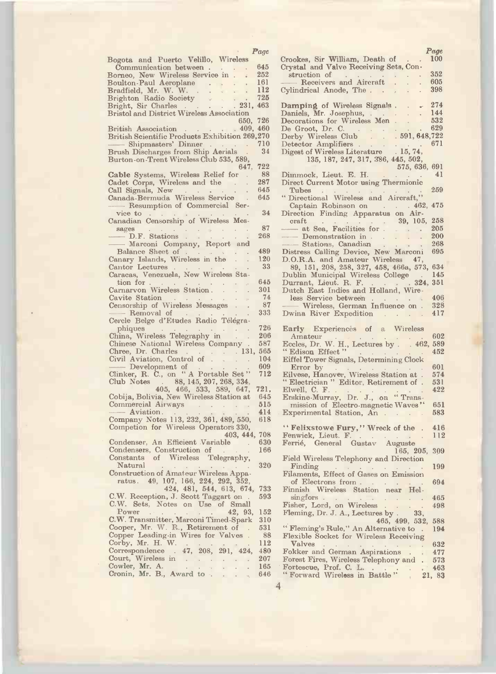|  | $P$ aae |  |
|--|---------|--|
|  |         |  |

|                                                                                                                                                   | Page       |                                       |
|---------------------------------------------------------------------------------------------------------------------------------------------------|------------|---------------------------------------|
| Bogota and Puerto Velillo, Wireless                                                                                                               |            | Crookes,                              |
| Communication between                                                                                                                             | 645        | Crystal a                             |
| Borneo, New Wireless Service in 252                                                                                                               |            | structio                              |
|                                                                                                                                                   |            | $-$ Rec                               |
|                                                                                                                                                   |            | Cylindric                             |
|                                                                                                                                                   |            |                                       |
|                                                                                                                                                   |            | Dampin                                |
|                                                                                                                                                   |            | Daniels,                              |
| 650,                                                                                                                                              | 726        | Decoratio                             |
| British Association 409, 460                                                                                                                      |            | De Groo                               |
| British Scientific Products Exhibition 269,270                                                                                                    |            | Derby W                               |
|                                                                                                                                                   | 710        | Detector                              |
| Shipmasters' Dinner<br>Brush Discharges from Ship Aerials                                                                                         | 34         | Digest of                             |
| Burton-on-Trent Wireless Club 535, 589,                                                                                                           |            | 13                                    |
| 647,                                                                                                                                              | 722        |                                       |
| Cable Systems, Wireless Relief for.                                                                                                               | -88        | Dimmoel                               |
|                                                                                                                                                   | 287        | Direct Ct                             |
| Cadet Corps, Wireless and the                                                                                                                     | 645        | Tubes                                 |
| Canada-Bermuda Wireless Service                                                                                                                   | 645        | "Directi                              |
| Resumption of Commercial Ser-                                                                                                                     |            | Captai                                |
|                                                                                                                                                   | 34         |                                       |
| vice to Canadian Censorship of Wireless Mes-                                                                                                      |            | Direction                             |
|                                                                                                                                                   | 87         | craft                                 |
|                                                                                                                                                   | $\bf 268$  | $-$ at<br>$\overline{\phantom{0}}$ De |
| sages<br>— D.F. Stations<br>— Marconi Company, Report and<br>Balance Sheet of<br>Canary Islands, Wireless in the                                  |            | $-$ Sta                               |
|                                                                                                                                                   |            |                                       |
|                                                                                                                                                   | 489        | <b>Distress</b>                       |
|                                                                                                                                                   | 120        | $\rm D.O.R.A$                         |
| Cantor Lectures.<br>Cantor Lectures<br>Caracas, Venezuela, New Wireless Sta-                                                                      | 33         | 89, 15                                |
|                                                                                                                                                   |            | Dublin I                              |
| tion for .<br>Carnarvon Wireless Station.                                                                                                         | 645        | Durrant,                              |
|                                                                                                                                                   | 301        | Dutch E                               |
| Cavite Station<br>Censorship of Wireless Messages                                                                                                 | 74         | less Se                               |
|                                                                                                                                                   | 87         | $-$ Wi                                |
|                                                                                                                                                   | 333        | Dwina I                               |
| Removal of Cercle Belge d'Etudes Radio Télégra-                                                                                                   |            |                                       |
| phiques<br>China, Wireless Telegraphy in                                                                                                          | 726        | Early                                 |
|                                                                                                                                                   | 206        | Amate                                 |
| Chinese National Wireless Company.                                                                                                                | 587        | Eccles, I                             |
| Chree, Dr. Charles<br>Civil Aviation, Control of 104<br>— Development of 609                                                                      |            | "Edison                               |
|                                                                                                                                                   |            | $_{\mathrm{Eiffel}}$ To               |
| Development of<br>Clinker, R. C., on "A Portable Set"                                                                                             | 609        | Error                                 |
|                                                                                                                                                   | 712        | Eilvese,                              |
| Club Notes . 88, 145, 207, 268, 334,<br>405, 466, 533, 589, 647,                                                                                  |            | "Electri                              |
|                                                                                                                                                   | 721,       | Elwell, 0                             |
| Cobija, Bolivia, New Wireless Station at                                                                                                          | 645        | Erskine-                              |
| Commercial Airways                                                                                                                                | 515        | missio                                |
| <b>Aviation.</b>                                                                                                                                  | 414        | Experim                               |
| Company Notes 113, 232, 361, 489, 550,                                                                                                            | 618        |                                       |
| Competion for Wireless Operators 330,                                                                                                             |            | " Felixs                              |
| 403, 444, 708                                                                                                                                     |            | Fenwick                               |
| Condenser, An Efficient Variable<br>Condensers, Construction of                                                                                   | 630        | Ferrié,                               |
|                                                                                                                                                   | 166        |                                       |
| Constants of Wireless Telegraphy,                                                                                                                 |            | Field Wi                              |
| Natural                                                                                                                                           | 320        | Findin                                |
| Construction of Amateur Wireless Appa-                                                                                                            |            | <b>Filament</b>                       |
| ratus. 49, 107, 166, 224, 292, 352,                                                                                                               |            | of Ele                                |
| 424, 481, 544, 613, 674,                                                                                                                          | 733        | Finnish                               |
| C.W. Reception, J. Scott Taggart on.                                                                                                              | 593        | singfor                               |
| C.W. Sets, Notes on Use of Small                                                                                                                  |            | Fisher, 1                             |
| Power<br>42, 93,<br>$\mathcal{A}(\mathcal{X})$ , and $\mathcal{A}(\mathcal{X})$ , and $\mathcal{A}(\mathcal{X})$ , and $\mathcal{A}(\mathcal{X})$ | 152        | Fleming.                              |
| C.W. Transmitter, Marconi Timed-Spark                                                                                                             | 310        |                                       |
| Cooper, Mr. W. R., Retirement of<br>$\sim$                                                                                                        | 531        | "Flemin                               |
|                                                                                                                                                   | 88         | Flexible                              |
| Copper Leading in Wires for Valves.<br>Corby, Mr. H. W.                                                                                           | 112        | Valves                                |
| Corpy, Mr. H. W.<br>Correspondence . 47, 208, 291, 424,                                                                                           | 480        | Fokker                                |
| Court, Wireless in<br>$\sim$                                                                                                                      | 207        | Forest F                              |
| Cowler, Mr. A.                                                                                                                                    |            |                                       |
|                                                                                                                                                   |            |                                       |
| Cronin, Mr. B., Award to.                                                                                                                         | 165<br>646 | $\rm Fortescu$<br>"Forwa              |

|                               | Page |                                                                                                                                    | Page       |  |
|-------------------------------|------|------------------------------------------------------------------------------------------------------------------------------------|------------|--|
| ess                           |      | Crookes, Sir William, Death of                                                                                                     | <b>100</b> |  |
| $\epsilon$                    | 645  | Crystal and Valve Receiving Sets, Con.                                                                                             |            |  |
| $\vec{a}$                     | 252  | struction of<br>- Receivers and Aircraft                                                                                           | 352        |  |
|                               | 161  |                                                                                                                                    | 605        |  |
|                               | 112  | Cylindrical Anode, The<br>$\sim$<br>$\overline{a}$                                                                                 | 398        |  |
|                               | 725  |                                                                                                                                    |            |  |
| 231, 463                      |      | Damping of Wireless Signals. 274                                                                                                   |            |  |
| ion                           |      | . 144                                                                                                                              |            |  |
| 650,                          | 726  | Daniels, Mr. Josephus, Nen                                                                                                         | 532        |  |
| 409, 460                      |      |                                                                                                                                    |            |  |
| ւ 269,270                     |      |                                                                                                                                    |            |  |
| $\sim$                        | 710  | De Groot, Dr. C. 629<br>Derby Wireless Club . 591, 648,722<br>Detector Amplifiers . 671<br>Digest of Wireless Literature . 15, 74, |            |  |
|                               | 34   |                                                                                                                                    |            |  |
| 89.                           |      | 135, 187, 247, 317, 386, 445, 502,                                                                                                 |            |  |
| 647, 722                      |      | 575, 636, 691<br>Dimmock, Lieut. E. H. 41                                                                                          |            |  |
|                               | -88  |                                                                                                                                    |            |  |
|                               | 287  | Direct Current Motor using Thermionic                                                                                              |            |  |
|                               | 645  | Tubes                                                                                                                              | 259        |  |
| er-                           | 645  | "Directional Wireless and Aircraft,"                                                                                               |            |  |
|                               | 34   | Captain Robinson on 462, 475                                                                                                       |            |  |
| $\ddot{\phantom{a}}$<br>$es-$ |      | Direction Finding Apparatus on Air-                                                                                                |            |  |
|                               | 87   | craft 39, 105, 258<br>at Sea, Facilities for 39, 105, 205                                                                          |            |  |
|                               | 268  | $\cdot$ $\cdot$ 200                                                                                                                |            |  |
| ınd                           |      |                                                                                                                                    | 268        |  |
|                               | 489  | Distress Calling Device, New Marconi                                                                                               | 695        |  |
|                               | 120  | D.O.R.A. and Amateur Wireless 47,                                                                                                  |            |  |
|                               | 33   | 89, 151, 208, 258, 327, 458, 466a, 573, 634                                                                                        |            |  |
| ta-                           |      | Dublin Municipal Wireless College.                                                                                                 | -145       |  |
|                               | 645  | Durrant, Lieut. R. F. 324, 351                                                                                                     |            |  |
|                               | 301  | Dutch East Indies and Holland, Wire-                                                                                               |            |  |
|                               | 74   | less Service between 406                                                                                                           |            |  |
|                               | 87   | - Wireless, German Influence on . 328                                                                                              |            |  |
| $\sim$                        | 333  | Dwina River Expedition                                                                                                             | 417        |  |
| ra-                           |      |                                                                                                                                    |            |  |
| $\mathcal{A}$                 | 726  | Early Experiences of a Wireless                                                                                                    |            |  |
|                               | 206  |                                                                                                                                    |            |  |
| $\mathbf{y}$ .                | 587  | Amateur 602<br>Eccles, Dr. W. H., Lectures by 462, 589<br>"Edison Effect "452                                                      |            |  |
| 131, 565                      | 104  |                                                                                                                                    |            |  |
|                               | 609  | Eiffel Tower Signals, Determining Clock<br>Error by                                                                                | 601        |  |
| $et$ <sup>33</sup>            | 712  | $\mathcal{A}^{\mathcal{A}}$ and $\mathcal{A}^{\mathcal{A}}$<br>Eilvese, Hanover, Wireless Station at.                              | 574        |  |
| 34,                           |      | "Electrician" Editor, Retirement of.                                                                                               | 531        |  |
| 47,                           | 721, |                                                                                                                                    | 422        |  |
| ı at                          | 645  | Elwell, C. F.<br>Erskine-Murray, Dr. J., on "Trans-                                                                                |            |  |
|                               | 515  | mission of Electro-magnetic Waves"                                                                                                 | -651       |  |
| $\rightarrow$                 | 414  | Experimental Station, An                                                                                                           | 583        |  |
| 550,                          | 618  |                                                                                                                                    |            |  |
| 30,                           |      | " Felixstowe Fury," Wreck of the.                                                                                                  | 416        |  |
| 444, 708                      |      | Fenwick, Lieut. F.                                                                                                                 | 112        |  |
| $\sim$                        | 630  | Ferrié, General Gustav Auguste                                                                                                     |            |  |
| $\sim$                        | 166  | 165, 205, 309                                                                                                                      |            |  |
| hy,                           |      | Field Wireless Telephony and Direction                                                                                             |            |  |
|                               | 320  | Finding<br>$\mathcal{A}^{\mathcal{A}}$ . In (<br>$\sim 10^{-11}$                                                                   | <b>199</b> |  |
| pa-                           |      | Filaments, Effect of Gases on Emission                                                                                             |            |  |
| 152,<br>674,                  | 733  | of Electrons from                                                                                                                  | 694        |  |
| $\mathfrak{n}$ .              | 593  | Finnish Wireless Station near Hel-                                                                                                 |            |  |
| nall                          |      |                                                                                                                                    | 465<br>498 |  |
| 93,                           | 152  | Fleming, Dr. J. A., Lectures by . 33,                                                                                              |            |  |
| $_{\rm dark}$                 | 310  | 465, 499, 532,                                                                                                                     | 588        |  |
|                               | 531  | " Fleming's Rule," An Alternative to.                                                                                              | 194        |  |
| $S$ .                         | 88   | Flexible Socket for Wireless Receiving                                                                                             |            |  |
|                               | 112  | Valves                                                                                                                             | 632        |  |
| 424,                          | 480  | Valves<br>Fokker and German Aspirations 477                                                                                        |            |  |
| $\sim$                        | 207  | Forest Fires, Wireless Telephony and . 573                                                                                         |            |  |
|                               | 165  |                                                                                                                                    |            |  |
|                               | 646  | Fortescue, Prof. C. L. (163)<br>"Forward Wireless in Battle" (21, 83)                                                              |            |  |
|                               |      | 4                                                                                                                                  |            |  |
|                               |      |                                                                                                                                    |            |  |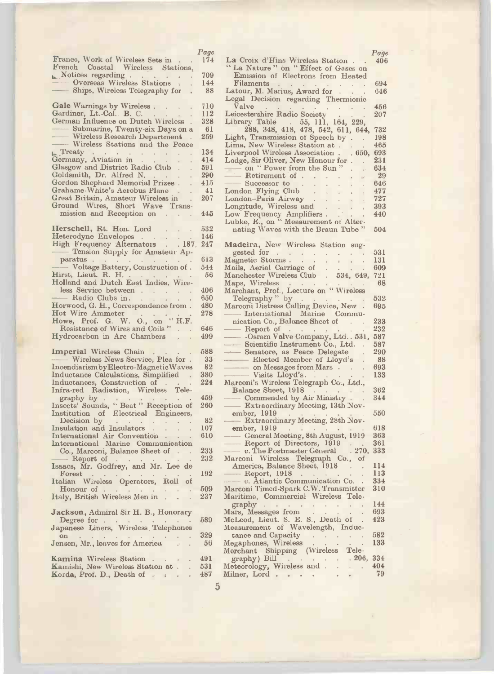|                                                            | Page               |                                                                                      | Page |  |
|------------------------------------------------------------|--------------------|--------------------------------------------------------------------------------------|------|--|
| France, Work of Wireless Sets in                           | 174                | La Croix d'Hins Wireless Station.                                                    | 406  |  |
| French Coastal Wireless Stations,                          |                    |                                                                                      |      |  |
|                                                            |                    | "La Nature" on "Effect of Gases on                                                   |      |  |
| Notices regarding                                          | 709                | Emission of Electrons from Heated                                                    |      |  |
| - Overseas Wireless Stations                               | 144                | Filaments                                                                            | 694  |  |
| - Ships, Wireless Telegraphy for.                          | 88                 | Latour, M. Marius, Award for                                                         | 046  |  |
|                                                            |                    |                                                                                      |      |  |
|                                                            |                    | Legal Decision regarding Thermionic                                                  |      |  |
| Gale Warnings by Wireless                                  | 710                | Valve $\cdots$ $\cdots$                                                              | 456  |  |
| Gardiner, Lt.-Col., B. C. $\ldots$                         | 112                | Leicestershire Radio Society                                                         | 207  |  |
| German Influence on Dutch Wireless.                        | 328                | Library Table . 55, 111, 164, 229,                                                   |      |  |
| -Submarine, Twenty-six Days on a                           | 61                 | 288, 348, 418, 478, 542, 611, 644,                                                   | 732  |  |
|                                                            | $\boldsymbol{259}$ |                                                                                      |      |  |
|                                                            |                    | Light, Transmission of Speech by                                                     | 198  |  |
|                                                            |                    | Lima, New Wireless Station at                                                        | 465  |  |
| $\mathbb{L}$ Treaty                                        | 134                | Liverpool Wireless Association 650, 693                                              |      |  |
| Germany, Aviation in                                       | 414                | Lodge, Sir Oliver, New Honour for                                                    | 231  |  |
| Glasgow and District Radio Club.                           | 591                | - on "Power from the Sun".                                                           | 634  |  |
| Goldsmith, Dr. Alfred N.                                   | 290                |                                                                                      | 29   |  |
|                                                            |                    | - Retirement of                                                                      |      |  |
| Gordon Shephard Memorial Prizes.                           | 415                | $\longrightarrow$ Successor to $\blacksquare$ .                                      | 646  |  |
| Grahame-White's Aerobus Plane.                             | 41                 |                                                                                      | 477  |  |
| Great Britain, Amateur Wireless in.                        | 207                | London Flying Club<br>London-Paris Airway                                            | 727  |  |
| Ground Wires, Short Wave Trans-                            |                    | Longitude, Wireless and                                                              | 393  |  |
| mission and Reception on                                   | 445                | Low Frequency Amplifiers                                                             | 440  |  |
|                                                            |                    | Lubke, E., on "Measurement of Alter-                                                 |      |  |
|                                                            |                    |                                                                                      |      |  |
| Herschell, Rt. Hon. Lord                                   | 532                | nating Waves with the Braun Tube "                                                   | 504  |  |
| Heterodyne Envelopes                                       | 146                |                                                                                      |      |  |
| High Frequency Alternators 187,                            | 247                | Madeira, New Wireless Station sug-                                                   |      |  |
| - Tension Supply for Amateur Ap-                           |                    | gested for $\cdot \cdot \cdot \cdot \cdot \cdot \cdot$                               | 531  |  |
| paratus                                                    | 613                | Magnetic Storms.                                                                     | 131  |  |
|                                                            | 544                |                                                                                      |      |  |
| —— Voltage Battery, Construction of.                       |                    | Mails, Aerial Carriage of                                                            | 609  |  |
| Hirst, Lieut. R. H.                                        | 56                 | Manchester Wireless Club . 534, 649, 721                                             |      |  |
| Holland and Dutch East Indies, Wire-                       |                    | Maps, Wireless                                                                       | 68   |  |
| less Service between                                       | 406                | Marchant, Prof., Lecture on "Wireless                                                |      |  |
| $\longrightarrow$ Radio Clubs in.                          | 650                | Telegraphy " by                                                                      | 532  |  |
| Horwood, G. H., Correspondence from.                       | 480                | Marconi Distress Calling Device, New.                                                | 695  |  |
|                                                            | 278                |                                                                                      |      |  |
| Hot Wire Ammeter<br><b>Contract Contract</b>               |                    | - International Marine Commu-                                                        |      |  |
| Howe, Prof. G. W. O., on "H.F.                             |                    | nication Co., Balance Sheet of                                                       | 233  |  |
| Resistance of Wires and Coils"                             | 646                | Report of                                                                            | 232  |  |
| Hydrocarbon in Arc Chambers                                | 499                | -- -Osram Valve Company, Ltd. . 531, 587<br>-- Scientific Instrument Co., Ltd. . 587 |      |  |
|                                                            |                    |                                                                                      |      |  |
| <b>Imperial Wireless Chain</b>                             | 588                | Senatore, as Peace Delegate.                                                         | 290  |  |
|                                                            |                    |                                                                                      |      |  |
| - Wireless News Service, Plea for.                         | 33                 | - Elected Member of Lloyd's.                                                         | 88   |  |
| Incendiarism by Electro-Magnetic Waves                     | 82                 | on Messages from Mars<br>Visits Lloyd's.                                             | 693  |  |
| Inductance Calculations, Simplified.                       | 380                |                                                                                      | 133  |  |
| Inductances, Construction of                               | 224                | Marconi's Wireless Telegraph Co., Ltd.,                                              |      |  |
| Infra-red Radiation, Wireless Tele-                        |                    | Balance Sheet, 1918                                                                  | 362  |  |
| graphy by $\cdots$                                         | 459                | - Commended by Air Ministry                                                          | 344  |  |
|                                                            | 260                |                                                                                      |      |  |
| Insects' Sounds, "Beat" Reception of                       |                    | - Extraordinary Meeting, 13th Nov-                                                   |      |  |
| Institution of Electrical Engineers,                       |                    | ember, 1919<br>the contract of the contract of                                       | 550  |  |
| Decision by<br>the company of the company of               | 82                 | - Extraordinary Meeting, 28th Nov-                                                   |      |  |
| Insulation and Insulators                                  | 107                | ember, 1919                                                                          | 618  |  |
| International Air Convention                               | 610                | - General Meeting, 8th August, 1919                                                  | 363  |  |
| International Marine Communication                         |                    | - Report of Directors, 1919.                                                         | 361  |  |
| Co., Marconi, Balance Sheet of                             | 233                | $\frac{1}{2}$ v. The Postmaster General 270, 333                                     |      |  |
| $\overline{\phantom{a}}$ Report of                         | 232                | Marconi Wireless Telegraph Co., of                                                   |      |  |
|                                                            |                    |                                                                                      |      |  |
| Isaacs, Mr. Godfrey, and Mr. Lee de                        |                    | America, Balance Sheet, 1918.                                                        | 114  |  |
|                                                            | 192                |                                                                                      | 113  |  |
|                                                            |                    | $\frac{1}{2}$ Report, 1918<br>$\frac{1}{2}$ . Atlantic Communication Co.             | 334  |  |
| Honour of $\ldots$                                         | 509                | Marconi Timed-Spark C.W. Transmitter                                                 | 310  |  |
| Italy, British Wireless Men in                             | 237                | Maritime, Commercial Wireless Tele-                                                  |      |  |
|                                                            |                    | graphy $\cdots$ $\cdots$ $\cdots$                                                    | 144  |  |
|                                                            |                    | Mars, Messages from                                                                  |      |  |
| <b>Jackson, Admiral Sir H. B., Honorary</b>                |                    |                                                                                      | 693  |  |
| Degree for $\cdots$ $\cdots$                               | 589                | McLeod, Lieut. S. E. S., Death of                                                    | 423  |  |
| Japanese Liners, Wireless Telephones                       |                    | Measurement of Wavelength, Induc-                                                    |      |  |
| 00                                                         | 329                | tance and Capacity                                                                   | 582  |  |
| Jensen, Mr., leaves for America                            | 56                 | Megaphones, Wireless                                                                 | 133  |  |
|                                                            |                    | Merchant Shipping (Wireless Tele-                                                    |      |  |
|                                                            |                    |                                                                                      |      |  |
| <b>Kamina</b> Wireless Station                             | 491                | graphy) Bill 206, 334                                                                |      |  |
| Kamishi, New Wireless Station at.<br>$\ddot{\phantom{a}}$  | 531                | Meteorology, Wireless and                                                            | 404  |  |
| Korda, Prof. D., Death of $\cdots$<br>$\ddot{\phantom{a}}$ | 487                | Milner, Lord<br>$\sim$                                                               | 79   |  |
|                                                            |                    |                                                                                      |      |  |
|                                                            | 5                  |                                                                                      |      |  |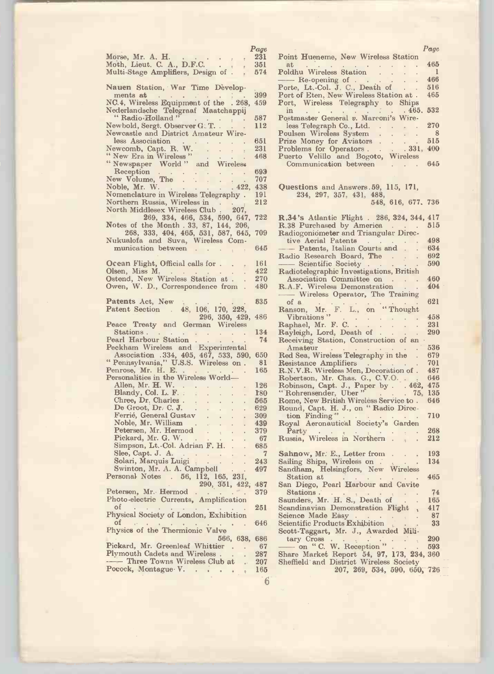|                                                                           | Page             |                                                                             |
|---------------------------------------------------------------------------|------------------|-----------------------------------------------------------------------------|
|                                                                           |                  |                                                                             |
| Morse, Mr. A. H.<br>Morse, Mr. A. H.<br>Moth, Lieut. C. A., D.F.C.        | 231              | Point Hueneme, New Wireless Station                                         |
|                                                                           | 351              | at -<br>$\mathcal{A}=\mathcal{A}=\mathcal{A}=\mathcal{A}=\mathcal{A}$ .     |
| Multi-Stage Amplifiers, Design of.                                        | 574              | Poldhu Wireless Station                                                     |
|                                                                           |                  |                                                                             |
| Nauen Station, War Time Develop-                                          |                  |                                                                             |
| ments at                                                                  | 399              | Port of Eten, New Wireless Station at.                                      |
|                                                                           |                  |                                                                             |
| NC.4, Wireless Equipment of the . 268, 459                                |                  | Port, Wireless Telegraphy to Ships                                          |
|                                                                           |                  | in 46                                                                       |
| Nederlandsche Telegraaf Maatchappij<br>"Radio-Holland"                    | 587              | Postmaster General v. Marconi's Wire-                                       |
| Newbold, Sergt. Observer G. T.                                            | 112              | less Telegraph Co., Ltd.                                                    |
| Newcastle and District Amateur Wire-                                      |                  | Poulsen Wireless System<br>$\sim$                                           |
|                                                                           |                  |                                                                             |
| less Association<br>Newcomb, Capt. R. W.<br>"New Era in Wireless"         | 651              | Prize Money for Aviators                                                    |
|                                                                           | 231              | Problems for Operators. 33                                                  |
|                                                                           | 468              | Puerto Velillo and Bogoto, Wireless                                         |
| "Newspaper World" and Wireless                                            |                  | Communication between                                                       |
| Reception $\cdots$                                                        | 693              |                                                                             |
|                                                                           |                  |                                                                             |
| New Volume, The 707<br>Noble, Mr. W. 422, 438                             |                  |                                                                             |
|                                                                           |                  | Questions and Answers. 59, 115, 171                                         |
| Nomenclature in Wireless Telegraphy.                                      | 191              | 234, 297, 357, 431, 488,                                                    |
| Northern Russia, Wireless in .<br>North Middlesex Wireless Club . 207,    | 212              | 548, 616, 67                                                                |
|                                                                           |                  |                                                                             |
|                                                                           |                  |                                                                             |
| 269, 334, 466, 534, 590, 647,                                             | 722              | <b>R.34's Atlantic Flight.</b> 286, 324, 34                                 |
| Notes of the Month . 33, 87, 144, 206,                                    |                  | R.38 Purchased by America<br>$\sim 10^{-11}$                                |
| 268, 333, 404, 465, 531, 587, 645,                                        | 709              | Radiogoniometer and Triangular Direc                                        |
| Nukualofa and Suva, Wireless Com-                                         |                  | tive Aerial Patents                                                         |
| munication between                                                        | 645              | - Patents, Italian Courts and                                               |
|                                                                           |                  |                                                                             |
|                                                                           |                  | Radio Research Board, The                                                   |
| <b>Ocean Flight, Official calls for </b>                                  | 161              | -Scientific Society                                                         |
| Olsen, Miss M.                                                            | 422              | Radiotelegraphic Investigations, British                                    |
| Ostend, New Wireless Station at.                                          | 270              | Association Committee on                                                    |
| Owen, W. D., Correspondence from.                                         | 480              | R.A.F. Wireless Demonstration.                                              |
|                                                                           |                  |                                                                             |
|                                                                           |                  | - Wireless Operator, The Training                                           |
| <b>Patents Act, New</b>                                                   | 835              |                                                                             |
| Patent Section . 48, 106, 170, 228,                                       |                  |                                                                             |
| 296, 350, 429,                                                            | 486              |                                                                             |
| Peace Treaty and German Wireless                                          |                  | of a<br>Ranson, Mr. F. L., on "Thought<br>Vibrations"<br>Raphael, Mr. F. C. |
|                                                                           |                  |                                                                             |
| Stations.                                                                 | 134              | Rayleigh, Lord, Death of                                                    |
| Pearl Harbour Station                                                     | 74               | Receiving Station, Construction of an                                       |
| Peckham Wireless and Experimental                                         |                  | Amateur                                                                     |
| Association .334, 405, 467, 533, 590, 650                                 |                  | Red Sea, Wireless Telegraphy in the                                         |
| "Pennsylvania," U.S.S. Wireless on.                                       | 81               | Resistance Amplifiers                                                       |
|                                                                           |                  |                                                                             |
| Penrose, Mr. H. E.                                                        | 165              | R.N.V.R. Wireless Men, Decoration of                                        |
| Personalities in the Wireless World-                                      |                  | Robertson, Mr. Chas. G., C.V.O                                              |
| Allen, Mr. H. W.                                                          | 126              | Robinson, Capt. J., Paper by 46<br>"Rohrensender, Uber" 7                   |
| Blandy, Col. L. F.                                                        | <b>180</b>       |                                                                             |
|                                                                           | 565              | Rome, New British Wireless Service to                                       |
|                                                                           | 629              |                                                                             |
|                                                                           |                  | Round, Capt. H. J., on "Radio Direc                                         |
| Ferrié, General Gustav.                                                   | 309              | tion Finding"                                                               |
| Noble, Mr. William                                                        | 439              | Royal Aeronautical Society's Garder                                         |
|                                                                           | 379              | Party .                                                                     |
| Petersen, Mr. Hermod<br>Pickard, Mr. G. W.                                | - 67             | Russia, Wireless in Northern.                                               |
| Simpson, Lt. Col. Adrian F. H                                             | 685              |                                                                             |
|                                                                           |                  |                                                                             |
| Slee, Capt. J. A.<br>Solari, Marquis Luigi<br>Swinton, Mr. A. A. Campbell | $-7$             | Sahnow, Mr. E., Letter from.                                                |
|                                                                           | 243              | Sailing Ships, Wireless on                                                  |
|                                                                           | 497              | Sandham, Helsingfors, New Wireles                                           |
| Personal Notes . 56, 112, 165, 231,                                       |                  | Station at                                                                  |
| 290, 351, 422,                                                            | 487              | San Diego, Pearl Harbour and Cavit                                          |
|                                                                           |                  |                                                                             |
| Petersen, Mr. Hermod.                                                     | 379              | Stations.                                                                   |
| Photo-electric Currents, Amplification                                    |                  | Saunders, Mr. H. S., Death of                                               |
| of<br>and a state                                                         | 251              | Scandinavian Demonstration Flight                                           |
| Physical Society of London, Exhibition                                    |                  | Science Made Easy.                                                          |
| οf                                                                        |                  |                                                                             |
|                                                                           | 646              | Scientific Products Exhibition                                              |
| Physics of the Thermionic Valve                                           |                  | Scott-Taggart, Mr. J., Awarded Mili                                         |
| 566, 638, 686                                                             |                  | tary Cross                                                                  |
| Pickard, Mr. Greenleaf Whittier.                                          | 67               | - on "C. W. Reception"                                                      |
| <b>Plymouth Cadets and Wireless.</b>                                      | 287              | Share Market Report 54, 97, 173, 23                                         |
|                                                                           |                  |                                                                             |
| ------ Three Towns Wireless Club at                                       | 207              | Sheffield and District Wireless Society                                     |
| Pocock, Montague V.                                                       | 165              | 207, 269, 534, 590, 65                                                      |
|                                                                           |                  |                                                                             |
|                                                                           | $\boldsymbol{6}$ |                                                                             |

|                                                                           | Page       |                                                                             | Page |
|---------------------------------------------------------------------------|------------|-----------------------------------------------------------------------------|------|
| Morse, Mr. A. H. $\cdots$                                                 | 231        | Point Hueneme, New Wireless Station                                         |      |
| Moth, Lieut. C. A., D.F.C.                                                | 351        | $\mathbf{a} \mathbf{t}$                                                     | 465  |
| Multi-Stage Amplifiers, Design of.                                        | 574        |                                                                             | 1    |
|                                                                           |            | Poldhu Wireless Station                                                     |      |
|                                                                           |            | $\frac{1}{\sqrt{1-\frac{1}{2}}}$ Re-opening of                              | 466  |
| Nauen Station, War Time Develop-                                          |            | Porte, Lt.-Col. J. C., Death of                                             | 516  |
| ments at $\cdots$ $\cdots$ $\cdots$                                       | 399        | Port of Eten, New Wireless Station at.                                      | 465  |
| NC.4, Wireless Equipment of the . 268, 459                                |            | Port, Wireless Telegraphy to Ships                                          |      |
| Nederlandsche Telegraaf Maatchappij<br>"Radio-Holland"                    |            | in 465. 532                                                                 |      |
|                                                                           | 587        | Postmaster General v. Marconi's Wire-                                       |      |
| Newbold, Sergt. Observer G. T.                                            | 112        | $less$ Telegraph Co., Ltd. $\ldots$                                         | 270  |
| Newcastle and District Amateur Wire-                                      |            |                                                                             | 8    |
|                                                                           |            | Poulsen Wireless System                                                     |      |
| less Association<br>Newcomb, Capt. R. W.<br>"New Era in Wireless"         | 651        | Prize Money for Aviators                                                    | 515  |
|                                                                           | 231        | Problems for Operators. 331, 400                                            |      |
|                                                                           | 468        | Puerto Velillo and Bogoto, Wireless                                         |      |
| "Newspaper World" and Wireless                                            |            | Communication between                                                       | 645  |
| Reception                                                                 | 693        |                                                                             |      |
| New Volume, The                                                           | 707        |                                                                             |      |
| Noble, Mr. W. 422, 438                                                    |            | Questions and Answers. 59, 115, 171,                                        |      |
| Nomenclature in Wireless Telegraphy.                                      | 191        | 234, 297, 357, 431, 488,                                                    |      |
|                                                                           | 212        |                                                                             |      |
| Northern Russia, Wireless in $\ldots$ .                                   |            | 548, 616, 677, 736                                                          |      |
| North Middlesex Wireless Club. 207,                                       |            |                                                                             |      |
| 269, 334, 466, 534, 590, 647,                                             | 722        | <b>R.34's Atlantic Flight.</b> 286, 324, 344, 417                           |      |
| Notes of the Month . 33, 87, 144, 206,                                    |            | R.38 Purchased by America                                                   | 515  |
| 268, 333, 404, 465, 531, 587, 645, 709                                    |            | Radiogoniometer and Triangular Direc-                                       |      |
| Nukualofa and Suva, Wireless Com-                                         |            | tive Aerial Patents                                                         | 498  |
| munication between                                                        | 645        | - Patents, Italian Courts and                                               | 634  |
|                                                                           |            | Radio Research Board, The                                                   | 692  |
|                                                                           |            |                                                                             |      |
| <b>Ocean Flight, Official calls for </b>                                  | 161        | -Scientific Society                                                         | 590  |
| Olsen, Miss $M_1$                                                         | 422        | Radiotelegraphic Investigations, British                                    |      |
| Ostend, New Wireless Station at.                                          | 270        | Association Committee on                                                    | 460  |
| Owen, W. D., Correspondence from.                                         | 480        | R.A.F. Wireless Demonstration                                               | 404  |
|                                                                           |            | - Wireless Operator, The Training                                           |      |
| Patents Act, New                                                          | 835        | of a<br>Ranson, Mr. F. L., on "Thought<br>Vibrations"<br>Raphael, Mr. F. C. | 621  |
| Patent Section . 48, 106, 170, 228,                                       |            |                                                                             |      |
| 296, 350, 429,                                                            | 486        |                                                                             | 458  |
| Peace Treaty and German Wireless                                          |            |                                                                             | 231  |
|                                                                           |            |                                                                             |      |
| Stations.                                                                 | 134        | Rayleigh, Lord, Death of                                                    | 290  |
| Pearl Harbour Station                                                     | 74         | Receiving Station, Construction of an                                       |      |
| Peckham Wireless and Experimental                                         |            | Amateur                                                                     | 536  |
| Association .334, 405, 467, 533, 590,                                     | 650        | Red Sea, Wireless Telegraphy in the .                                       | 679  |
| "Pennsylvania," U.S.S. Wireless on.                                       | 81         | Resistance Amplifiers                                                       | 701  |
| Penrose, Mr. H. E.                                                        | 165        | R.N.V.R. Wireless Men, Decoration of.                                       | 487  |
| Personalities in the Wireless World—                                      |            | Robertson, Mr. Chas. G., C.V.O                                              | 646  |
| Allen, Mr. H. W. $\ldots$                                                 | <b>126</b> |                                                                             |      |
| Blandy, Col. L. F.                                                        | <b>180</b> | Robinson, Capt. J., Paper by 462, 475<br>"Rohrensender, Uber" 75, 135       |      |
|                                                                           |            |                                                                             | 646  |
|                                                                           | 565        | Rome, New British Wireless Service to.                                      |      |
|                                                                           | 629        | Round, Capt. H. J., on "Radio Direc-                                        |      |
| Ferrié, General Gustav                                                    | 309        | tion Finding"                                                               | 710  |
| Noble, Mr. William                                                        | 439        | Royal Aeronautical Society's Garden                                         |      |
|                                                                           | 379        | $\Delta \sim 10^{-12}$ km s $^{-1}$<br>Party                                | 268  |
| Petersen, Mr. Hermod<br>Pickard, Mr. G. W.                                | 67         | Russia, Wireless in Northern.,                                              | 212  |
| Simpson, Lt. Col. Adrian F. H.                                            | 685        |                                                                             |      |
|                                                                           | - 7        | Sahnow, Mr. E., Letter from                                                 | 193  |
| Slee, Capt. J. A.<br>Solari, Marquis Luigi<br>Swinton, Mr. A. A. Campbell | 243        | Sailing Ships, Wireless on                                                  | 134  |
|                                                                           | 497        | Sandham, Helsingfors, New Wireless                                          |      |
| Personal Notes . 56, 112, 165, 231,                                       |            | Station at                                                                  | 465  |
|                                                                           |            |                                                                             |      |
| 290, 351, 422,                                                            | 487        | San Diego, Pearl Harbour and Cavite                                         |      |
| Petersen, Mr. Hermod                                                      | 379        | Stations.<br>Saunders, Mr. H. S., Death of                                  | 74   |
| Photo-electric Currents, Amplification                                    |            |                                                                             | 165  |
|                                                                           | 251        | Scandinavian Demonstration Flight                                           | 417  |
| Physical Society of London, Exhibition                                    |            | Science Made Easy                                                           | 87   |
| of $\cdots$                                                               | 646        | Scientific Products Exhibition                                              | 33   |
| Physics of the Thermionic Valve                                           |            | Scott-Taggart, Mr. J., Awarded Mili-                                        |      |
| 566, 638, 686                                                             |            | tary Cross                                                                  | 290  |
| Pickard, Mr. Greenleaf Whittier.                                          | 67         | - on "C. W. Reception"                                                      |      |
|                                                                           |            |                                                                             | 593  |
| Plymouth Cadets and Wireless.                                             | 287        | Share Market Report 54, 97, 173, 234, 360                                   |      |
| ------ Three Towns Wireless Club at                                       | 207        | Sheffield and District Wireless Society                                     |      |
| Pocock, Montague V                                                        | 165        | 207, 269, 534, 590, 650, 726                                                |      |
|                                                                           |            |                                                                             |      |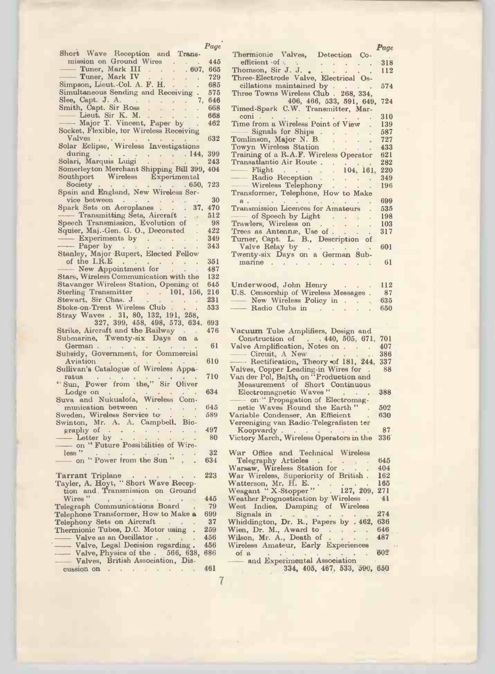|                                                                                        | Page |                                                                                                                                                                                                                                | Page                                      |
|----------------------------------------------------------------------------------------|------|--------------------------------------------------------------------------------------------------------------------------------------------------------------------------------------------------------------------------------|-------------------------------------------|
| Short Wave Reception and Trans-                                                        |      | Thermionic Valves, Detection Co-                                                                                                                                                                                               |                                           |
| mission on Ground Wires                                                                | 445  |                                                                                                                                                                                                                                |                                           |
|                                                                                        |      | efficient of the contract of the contract of the contract of the contract of the contract of the contract of the contract of the contract of the contract of the contract of the contract of the contract of the contract of t | 318                                       |
| Tuner, Mark III 607, 665<br>Tuner, Mark IV 729                                         |      |                                                                                                                                                                                                                                | 112                                       |
|                                                                                        |      | Three Electrode Valve, Electrical Os-                                                                                                                                                                                          |                                           |
| Simpson, Lieut.-Col. A. F. H                                                           | 685  | cillations maintained by                                                                                                                                                                                                       | 574                                       |
| Simultaneous Sending and Receiving.                                                    | 575  | Three Towns Wireless Club. 268, 334,                                                                                                                                                                                           |                                           |
| Slee, Capt. J. A. 7, 646                                                               |      | 406, 466, 533, 591, 649, 724                                                                                                                                                                                                   |                                           |
| Smith, Capt. Sir Ross                                                                  | 668  | Timed-Spark C.W. Transmitter, Mar-                                                                                                                                                                                             |                                           |
| --- Lieut. Sir K. M.                                                                   | 668  |                                                                                                                                                                                                                                |                                           |
|                                                                                        | 462  | $\text{coni}$                                                                                                                                                                                                                  | 310                                       |
| Major T. Vincent, Paper by .                                                           |      | Time from a Wireless Point of View                                                                                                                                                                                             | 139                                       |
| Socket, Flexible, for Wireless Receiving                                               |      | Signals for Ships                                                                                                                                                                                                              | 587                                       |
| Valves                                                                                 | 632  | Tomlinson, Major N. B.<br>Towyn Wireless Station                                                                                                                                                                               | 727                                       |
| Solar Eclipse, Wireless Investigations                                                 |      |                                                                                                                                                                                                                                | 433                                       |
|                                                                                        |      | Training of a R.A.F. Wireless Operator                                                                                                                                                                                         | 621                                       |
| during 144, 399<br>Solari, Marquis Luigi 243                                           |      | Transatlantic Air Route.                                                                                                                                                                                                       | 282                                       |
| Somerleyton Merchant Shipping Bill 399, 404                                            |      |                                                                                                                                                                                                                                |                                           |
|                                                                                        |      |                                                                                                                                                                                                                                |                                           |
|                                                                                        |      | - Radio Reception                                                                                                                                                                                                              | 349                                       |
|                                                                                        |      | - Wireless Telephony                                                                                                                                                                                                           | 196                                       |
| Spain and England, New Wireless Ser-                                                   |      | Transformer, Telephone, How to Make                                                                                                                                                                                            |                                           |
|                                                                                        |      | 8.                                                                                                                                                                                                                             | 699                                       |
|                                                                                        |      | Transmission Licences for Amateurs.                                                                                                                                                                                            | 535                                       |
| vice between 30<br>Spark Sets on Aeroplanes 37, 470<br>Transmitting Sets, Aircraft 512 |      | of Speech by Light                                                                                                                                                                                                             | 198                                       |
| Speech Transmission, Evolution of.                                                     | 98   |                                                                                                                                                                                                                                | 103                                       |
| Squier, Maj.-Gen. G. O., Decorated.                                                    | 422  |                                                                                                                                                                                                                                | 317                                       |
|                                                                                        |      |                                                                                                                                                                                                                                |                                           |
|                                                                                        | 349  | Turner, Capt. L. B., Description of                                                                                                                                                                                            |                                           |
| Paper by                                                                               | 343  | Valve Relay by                                                                                                                                                                                                                 | 601                                       |
| Stanley, Major Rupert, Elected Fellow                                                  |      | Twenty-six Days on a German Sub-                                                                                                                                                                                               |                                           |
| of the I.R.E $\ldots$                                                                  | 351  | $\text{maxine}$ :                                                                                                                                                                                                              | 61                                        |
| New Appointment for                                                                    | 487  |                                                                                                                                                                                                                                |                                           |
| Stars, Wireless Communication with the                                                 | 132  |                                                                                                                                                                                                                                |                                           |
| Stavanger Wireless Station, Opening of                                                 | 645  | Underwood, John Henry                                                                                                                                                                                                          | 112                                       |
|                                                                                        |      | U.S. Censorship of Wireless Messages.                                                                                                                                                                                          | 87                                        |
| Sterling Transmitter 101, 156, 216<br>Stewart, Sir Chas. J. 231                        |      | New Wireless Policy in                                                                                                                                                                                                         | 635                                       |
| Stoke-on-Trent Wireless Club                                                           | 533  | $\frac{1}{\sqrt{1-\frac{1}{2}}}\$ Radio Clubs in                                                                                                                                                                               | 650                                       |
| Stray Waves . 31, 80, 132, 191, 258,                                                   |      |                                                                                                                                                                                                                                |                                           |
| 327, 399, 458, 498, 573, 634.                                                          | 693  |                                                                                                                                                                                                                                |                                           |
|                                                                                        |      |                                                                                                                                                                                                                                |                                           |
| Strike, Aircraft and the Railway                                                       | 476  | Vacuum Tube Amplifiers, Design and                                                                                                                                                                                             |                                           |
| Submarine, Twenty-six Days on a                                                        |      | Construction of 440, 505, 671, 701                                                                                                                                                                                             |                                           |
| German                                                                                 | 61   | Valve Amplification, Notes on                                                                                                                                                                                                  | 407                                       |
| Subsidy, Government, for Commercial                                                    |      | $\longrightarrow$ Circuit, A New                                                                                                                                                                                               | 386                                       |
| Aviation                                                                               | 610  | Rectification, Theory of 181, 244, 337                                                                                                                                                                                         |                                           |
| Sullivan's Catalogue of Wireless Appa-                                                 |      | Valves, Copper Leading-in Wires for.                                                                                                                                                                                           | 88                                        |
| ratus                                                                                  | 710  | Van der Pol, Balth, on "Production and                                                                                                                                                                                         |                                           |
|                                                                                        |      | Measurement of Short Continuous                                                                                                                                                                                                |                                           |
| "Sun, Power from the," Sir Oliver<br>Lodge on                                          | 634  | Electromagnetic Waves"                                                                                                                                                                                                         | 388                                       |
| Suva and Nukualofa, Wireless Com.                                                      |      |                                                                                                                                                                                                                                |                                           |
|                                                                                        | 645  | - on "Propagation of Electromag-                                                                                                                                                                                               | 502                                       |
| munication between<br>Sweden, Wireless Service to                                      |      | netic Waves Round the Earth".<br>Variable Condenser, An Efficient.                                                                                                                                                             |                                           |
|                                                                                        | 589  |                                                                                                                                                                                                                                | 630                                       |
| Swinton, Mr. A. A. Campbell, Bio-                                                      |      | Vereeniging van Radio-Telegrafisten ter                                                                                                                                                                                        |                                           |
|                                                                                        | 497  | Koopvardy                                                                                                                                                                                                                      | 87                                        |
|                                                                                        | 80   | Victory March, Wireless Operators in the 336                                                                                                                                                                                   |                                           |
|                                                                                        |      |                                                                                                                                                                                                                                |                                           |
| less "<br>and a series of the series of the                                            | 32   | War Office and Technical Wireless                                                                                                                                                                                              |                                           |
| - on "Power from the Sun".                                                             | 634  | Telegraphy Articles                                                                                                                                                                                                            | 645                                       |
|                                                                                        |      | Warsaw, Wireless Station for                                                                                                                                                                                                   | 404                                       |
| Tarrant Triplane                                                                       | 223  | War Wireless, Superiority of British.                                                                                                                                                                                          | <b>162</b>                                |
| Tayler, A. Hoyt, "Short Wave Recep-                                                    |      |                                                                                                                                                                                                                                | 165                                       |
| tion and Transmission on Ground                                                        |      | Watterson, Mr. H. E. 165<br>Weagant " X-Stopper " 127, 209, 271                                                                                                                                                                |                                           |
| Wires"<br>$\sim$ $\sim$<br><b><i>Commission Commission Commission</i></b>              | 445  | Weather Prognostication by Wireless.                                                                                                                                                                                           | 41                                        |
| Telegraph Communications Board                                                         | 79   |                                                                                                                                                                                                                                |                                           |
|                                                                                        |      | West Indies, Damping of Wireless                                                                                                                                                                                               |                                           |
| Telephone Transformer, How to Make <b>a</b>                                            | 699  | Signals in . R., Papers by . 462, 636<br>Whiddington, Dr. R., Papers by . 462, 636                                                                                                                                             |                                           |
| Telephony Sets on Aircraft                                                             | 37   |                                                                                                                                                                                                                                |                                           |
| Thermionic Tubes, D.C. Motor using.                                                    | 259  | Wien, Dr. M., Award to $\cdot \cdot \cdot$                                                                                                                                                                                     | 646                                       |
| Valve as an Oscillator                                                                 | 456  | Wilson, Mr. A., Death of $\cdot \cdot \cdot$                                                                                                                                                                                   | 487                                       |
|                                                                                        |      | Wireless Amateur, Early Experiences                                                                                                                                                                                            | $\mathbb{E}\left[\hat{\mathbf{y}}\right]$ |
| Valve, Legal Decision regarding . 456<br>Walve, Physics of the . 566, 638, 686         |      | of $a$                                                                                                                                                                                                                         | 002                                       |
| - Valves, British Association, Dis.                                                    |      | — and Experimental Association                                                                                                                                                                                                 |                                           |
| cussion on $\cdots$                                                                    | 461  | 334, 405, 467, 533, 590, 650                                                                                                                                                                                                   |                                           |
|                                                                                        |      |                                                                                                                                                                                                                                |                                           |

|                                                                                                                                                                                                                                   | Page       |                                                                                                                                                                                                                                | Page                                                                                                                     |  |
|-----------------------------------------------------------------------------------------------------------------------------------------------------------------------------------------------------------------------------------|------------|--------------------------------------------------------------------------------------------------------------------------------------------------------------------------------------------------------------------------------|--------------------------------------------------------------------------------------------------------------------------|--|
| Short Wave Reception and Trans-                                                                                                                                                                                                   |            | Thermionic Valves, Detection Co-                                                                                                                                                                                               |                                                                                                                          |  |
| mission on Ground Wires 445                                                                                                                                                                                                       |            | efficient of $\begin{array}{ccc} \circ & \circ & \circ & \circ & \circ \\ \circ & \circ & \circ & \circ & \circ \end{array}$                                                                                                   | 318                                                                                                                      |  |
| Tuner, Mark III 607, 665                                                                                                                                                                                                          |            | Thomson, Sir J. J.                                                                                                                                                                                                             | 112                                                                                                                      |  |
| Simpson, Lieut.-Col. A. F. H.                                                                                                                                                                                                     | 685        | Three-Electrode Valve, Electrical Os-                                                                                                                                                                                          |                                                                                                                          |  |
| Simultaneous Sending and Receiving.                                                                                                                                                                                               | 575        | cillations maintained by<br>Three Towns Wireless Club. 268, 334,                                                                                                                                                               | 574                                                                                                                      |  |
| Slee, Capt. J. A. 7, 646                                                                                                                                                                                                          |            | 406, 466, 533, 591, 649, 724                                                                                                                                                                                                   |                                                                                                                          |  |
| Smith, Capt. Sir Ross                                                                                                                                                                                                             | 668        | Timed Spark C.W. Transmitter, Mar-                                                                                                                                                                                             |                                                                                                                          |  |
| - Lieut. Sir K. M.                                                                                                                                                                                                                | 668        | $coni$                                                                                                                                                                                                                         | 310                                                                                                                      |  |
| Major T. Vincent, Paper by .                                                                                                                                                                                                      | 462        | Time from a Wireless Point of View.                                                                                                                                                                                            | 139                                                                                                                      |  |
| Socket, Flexible, for Wireless Receiving                                                                                                                                                                                          |            | Signals for Ships                                                                                                                                                                                                              | 587                                                                                                                      |  |
| Valves                                                                                                                                                                                                                            | 632        | Tomlinson, Major N. B.                                                                                                                                                                                                         | 727                                                                                                                      |  |
| Solar Eclipse, Wireless Investigations                                                                                                                                                                                            |            | Towyn Wireless Station                                                                                                                                                                                                         | 433                                                                                                                      |  |
| during<br>Solari, Marquis Luigi                                                                                                                                                                                                   |            | Training of a R.A.F. Wireless Operator 621                                                                                                                                                                                     |                                                                                                                          |  |
| Somerleyton Merchant Shipping Bill 399, 404                                                                                                                                                                                       |            | Transatlantic Air Route                                                                                                                                                                                                        | 282                                                                                                                      |  |
|                                                                                                                                                                                                                                   |            | - Radio Reception                                                                                                                                                                                                              | 349                                                                                                                      |  |
|                                                                                                                                                                                                                                   |            | - Wireless Telephony                                                                                                                                                                                                           | 196                                                                                                                      |  |
| Spain and England, New Wireless Ser-                                                                                                                                                                                              |            | Transformer, Telephone, How to Make                                                                                                                                                                                            |                                                                                                                          |  |
| vice between                                                                                                                                                                                                                      | 30         | 8.                                                                                                                                                                                                                             | 699                                                                                                                      |  |
| Spark Sets on Aeroplanes 37, 470                                                                                                                                                                                                  |            | Transmission Licences for Amateurs.                                                                                                                                                                                            | 535                                                                                                                      |  |
| - Transmitting Sets, Aircraft.                                                                                                                                                                                                    | 512        | of Speech by Light                                                                                                                                                                                                             | 198                                                                                                                      |  |
| Speech Transmission, Evolution of .                                                                                                                                                                                               | 98         | Trawlers, Wireless on                                                                                                                                                                                                          | 103                                                                                                                      |  |
| Squier, Maj.-Gen. G. O., Decorated.                                                                                                                                                                                               | 422        | Trees as Antennæ, Use of                                                                                                                                                                                                       | 317                                                                                                                      |  |
| Experiments by<br>Paper by<br>and the contract of the contract of the contract of the contract of the contract of the contract of the contract of the contract of the contract of the contract of the contract of the contract of | 349<br>343 | Turner, Capt. L. B., Description of                                                                                                                                                                                            |                                                                                                                          |  |
| Stanley, Major Rupert, Elected Fellow                                                                                                                                                                                             |            | Valve Relay by                                                                                                                                                                                                                 | 601                                                                                                                      |  |
|                                                                                                                                                                                                                                   | 351        | Twenty-six Days on a German Sub-<br>marine                                                                                                                                                                                     | 61                                                                                                                       |  |
| of the I.R.E.                                                                                                                                                                                                                     | 487        |                                                                                                                                                                                                                                |                                                                                                                          |  |
| Stars, Wireless Communication with the                                                                                                                                                                                            | -132       |                                                                                                                                                                                                                                |                                                                                                                          |  |
| Stavanger Wireless Station, Opening of                                                                                                                                                                                            | 645        | Underwood, John Henry                                                                                                                                                                                                          | 112                                                                                                                      |  |
| Sterling Transmitter . 101, 156, 216<br>Stewart, Sir Chas. J. 231                                                                                                                                                                 |            | U.S. Censorship of Wireless Messages.                                                                                                                                                                                          | - 87                                                                                                                     |  |
|                                                                                                                                                                                                                                   |            | New Wireless Policy in                                                                                                                                                                                                         | 635                                                                                                                      |  |
| Stoke-on-Trent Wireless Club                                                                                                                                                                                                      | 533        | - Radio Clubs in Alberta Alberta Alberta Alberta Alberta Alberta Alberta Alberta Alberta Alberta Alberta Alberta Alberta Alberta Alberta Alberta Alberta Alberta Alberta Alberta Alberta Alberta Alberta Alberta Alberta Alber | 650                                                                                                                      |  |
| Stray Waves . 31, 80, 132, 191, 258,<br>327, 399, 458, 498, 573, 634, 693                                                                                                                                                         |            |                                                                                                                                                                                                                                |                                                                                                                          |  |
| Strike, Aircraft and the Railway.                                                                                                                                                                                                 | 476        | Vacuum Tube Amplifiers, Design and                                                                                                                                                                                             |                                                                                                                          |  |
| Submarine, Twenty-six Days on a                                                                                                                                                                                                   |            | Construction of 440, 505, 671, 701                                                                                                                                                                                             |                                                                                                                          |  |
| German                                                                                                                                                                                                                            | 61         | Valve Amplification, Notes on                                                                                                                                                                                                  | 407                                                                                                                      |  |
| Subsidy, Government, for Commercial                                                                                                                                                                                               |            |                                                                                                                                                                                                                                |                                                                                                                          |  |
| Aviation                                                                                                                                                                                                                          | 610        | Circuit, A New 386<br>Rectification, Theory of 181, 244, 337                                                                                                                                                                   |                                                                                                                          |  |
| Sullivan's Catalogue of Wireless Appa-                                                                                                                                                                                            |            | Valves, Copper Leading-in Wires for.                                                                                                                                                                                           | 88                                                                                                                       |  |
| $ratus$ $\cdots$ $\cdots$                                                                                                                                                                                                         | 710        | Van der Pol, Balth, on "Production and                                                                                                                                                                                         |                                                                                                                          |  |
| "Sun, Power from the," Sir Oliver<br>Lodge on                                                                                                                                                                                     | 634        | Measurement of Short Continuous                                                                                                                                                                                                |                                                                                                                          |  |
| Suva and Nukualofa, Wireless Com.                                                                                                                                                                                                 |            | Electromagnetic Waves"<br>- on "Propagation of Electromag-                                                                                                                                                                     | 388                                                                                                                      |  |
| munication between                                                                                                                                                                                                                | 645        |                                                                                                                                                                                                                                | 502                                                                                                                      |  |
| Sweden, Wireless Service to                                                                                                                                                                                                       | 589        | netic Waves Round the Earth".<br>Variable Condenser, An Efficient.                                                                                                                                                             | 630                                                                                                                      |  |
| Swinton, Mr. A. A. Campbell, Bio-                                                                                                                                                                                                 |            | Vereeniging van Radio-Telegrafisten ter                                                                                                                                                                                        |                                                                                                                          |  |
|                                                                                                                                                                                                                                   | 497        | Koopvardy                                                                                                                                                                                                                      | 87                                                                                                                       |  |
|                                                                                                                                                                                                                                   | 80         | Victory March, Wireless Operators in the 336                                                                                                                                                                                   |                                                                                                                          |  |
| $less$ "                                                                                                                                                                                                                          | 32         | War Office and Technical Wireless                                                                                                                                                                                              |                                                                                                                          |  |
| on "Power from the Sun".                                                                                                                                                                                                          | 634        | Telegraphy Articles                                                                                                                                                                                                            | 645                                                                                                                      |  |
|                                                                                                                                                                                                                                   |            | Warsaw, Wireless Station for                                                                                                                                                                                                   | 404                                                                                                                      |  |
| Farrant Triplane                                                                                                                                                                                                                  | 223        | War Wireless, Superiority of British.                                                                                                                                                                                          | 162                                                                                                                      |  |
| Tayler, A. Hoyt, "Short Wave Recep-                                                                                                                                                                                               |            | Watterson, Mr. H. E.                                                                                                                                                                                                           | 165                                                                                                                      |  |
| tion and Transmission on Ground                                                                                                                                                                                                   |            | Weagant "X-Stopper" . 127, 209, 271                                                                                                                                                                                            |                                                                                                                          |  |
| Wires"                                                                                                                                                                                                                            | 445        | Weather Prognostication by Wireless.                                                                                                                                                                                           | 41                                                                                                                       |  |
| elegraph Communications Board                                                                                                                                                                                                     | 79         | West Indies, Damping of Wireless                                                                                                                                                                                               |                                                                                                                          |  |
| elephone Transformer, How to Make <b>a</b> .<br>Telephony Sets on Aircraft<br>$\alpha$ . In the $\alpha$                                                                                                                          | 699<br>37  | Signals in $\cdot \cdot \cdot \cdot \cdot$<br>Whiddington, Dr. R., Papers by . 462, 636                                                                                                                                        | 274                                                                                                                      |  |
| hermionic Tubes, D.C. Motor using.                                                                                                                                                                                                | 259        | Wien, Dr. M., Award to<br>$\begin{array}{ccccccccccccc} \bullet & \bullet & \bullet & \bullet & \bullet & \bullet & \bullet \end{array}$                                                                                       | 646                                                                                                                      |  |
| — Valve as an Oscillator                                                                                                                                                                                                          | 456        | Wilson, Mr. A., Death of $\cdots$                                                                                                                                                                                              | 487                                                                                                                      |  |
| — Valve, Legal Decision regarding.                                                                                                                                                                                                | 456        | Wireless Amateur, Early Experiences                                                                                                                                                                                            | $\begin{array}{c} \begin{array}{c} \begin{array}{c} \end{array} \\ \begin{array}{c} \end{array} \end{array} \end{array}$ |  |
| $-$ Valve, Physics of the $.566, 638, 686$                                                                                                                                                                                        |            | $\mathcal{L}^{\mathcal{A}}$ and $\mathcal{L}^{\mathcal{A}}$ are the polarization of the $\mathcal{L}^{\mathcal{A}}$<br>of a                                                                                                    | 602                                                                                                                      |  |
| - Valves, British Association, Dis.                                                                                                                                                                                               |            | and Experimental Association                                                                                                                                                                                                   |                                                                                                                          |  |
| cussion on                                                                                                                                                                                                                        | 461        | 334, 405, 467, 533, 590, 650                                                                                                                                                                                                   |                                                                                                                          |  |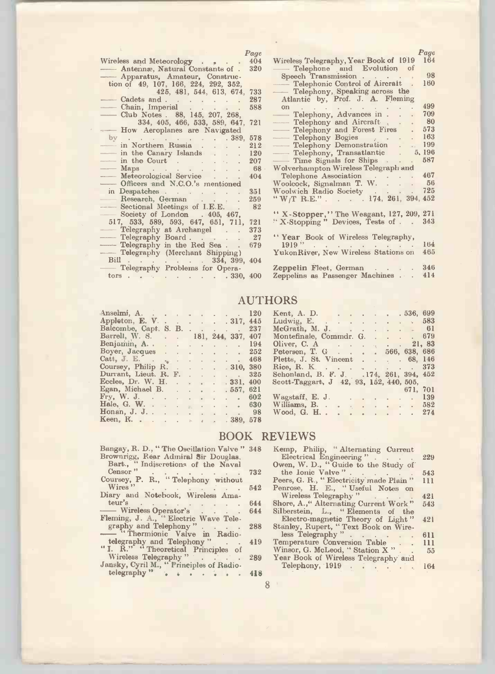|                                                              | Page |                                                                                                            | Page |
|--------------------------------------------------------------|------|------------------------------------------------------------------------------------------------------------|------|
| Wireless and Meteorology 404                                 |      | Wireless Telegraphy, Year Book of 1919 164                                                                 |      |
| - Antennæ, Natural Constants of . 320                        |      | - Telephone and Evolution of                                                                               |      |
|                                                              |      |                                                                                                            |      |
|                                                              |      | Apparatus, Amateur, Construc-<br>tion of 49, 107, 166, 224, 292, 352, Telephonic Control of Aircraft . 160 |      |
| 425, 481, 544, 613, 674, 733                                 |      | - Telephony, Speaking across the                                                                           |      |
| Cadets and 287                                               |      | Atlantic by, Prof. J. A. Fleming                                                                           |      |
| - Chain, Imperial 588                                        |      |                                                                                                            |      |
| - Club Notes . 88, 145, 207, 268,                            |      | <sup>on</sup> Telephony, Advances in 709                                                                   |      |
| 334, 405, 466, 533, 589, 647, 721<br><u>a sa san</u>         |      | - Telephony and Aircraft 80                                                                                |      |
| - How Aeroplanes are Navigated                               |      | - Telephony and Forest Fires . 573                                                                         |      |
| by 389, 578                                                  |      | Telephony Bogies 163                                                                                       |      |
| in Northern Russia                                           | 212  | - Telephony Demonstration 199                                                                              |      |
| $\longrightarrow$ in the Canary Islands 120                  |      | - Telephony, Transatlantic . 5, 196                                                                        |      |
|                                                              |      | - Time Signals for Ships 587                                                                               |      |
| $-$ Maps 68                                                  |      | Wolverhampton Wireless Telegraph and                                                                       |      |
|                                                              |      | Meteorological Service 404 Telephone Association 467                                                       |      |
| - Officers and N.C.O.'s mentioned                            |      | Woolcock, Signalman T. W. 56                                                                               |      |
| in Despatches 351                                            |      | Woolwich Radio Society 725                                                                                 |      |
|                                                              |      | "W/T R.E.". 174, 261, 394, 452                                                                             |      |
| Research, German 259<br>-- Sectional Meetings of I.E.E. . 82 |      |                                                                                                            |      |
| Society of London $.405, 467,$                               |      | "X-Stopper," The Weagant, 127, 209, 271                                                                    |      |
| 517, 533, 589, 593, 647, 651, 711, 721                       |      | "X.Stopping" Devices, Tests of 343                                                                         |      |
| Telegraphy at Archangel 373                                  |      |                                                                                                            |      |
|                                                              |      | "Year Book of Wireless Telegraphy,                                                                         |      |
| Telegraphy Board 27                                          |      | $1919$ " 164                                                                                               |      |
| Telegraphy in the Red Sea. . 679                             |      | YukonRiver, New Wireless Stations on 465                                                                   |      |
| - Telegraphy (Merchant Shipping)                             |      |                                                                                                            |      |
| Bill 334, 399, 404                                           |      |                                                                                                            |      |
|                                                              |      | Telegraphy Problems for Opera. <b>2eppelin</b> Fleet, German 346                                           |      |
| $\text{tors}$ 330, 400                                       |      | Zeppelins as Passenger Machines 414                                                                        |      |

#### AUTHORS

|                                   |  |  | <b>AUTHORS</b>                                          |
|-----------------------------------|--|--|---------------------------------------------------------|
|                                   |  |  |                                                         |
| Anselmi, A. 120                   |  |  | Kent, A. D. 536, 699                                    |
|                                   |  |  | Ludwig, E. 583                                          |
| Balcombe, Capt. S. B. 237         |  |  | McGrath, M. J. 61                                       |
| Barrell, W. S. 181, 244, 337, 407 |  |  | Montefinale, Commdr. G. 679                             |
| Benjamin, A 194                   |  |  | Oliver, C. A 21, 83                                     |
| Boyer, Jacques 252                |  |  | Petersen, T. G. 566, 638, 686                           |
| Catt, J. E. 468                   |  |  | Pletts, J. St. Vincent 68, 146                          |
| Coursey, Philip R. 310, 380       |  |  | Rice, R. K. 373                                         |
| Durrant, Lieut. R. F. 325         |  |  | Schonland, B. F. J. 174, 261, 394, 452                  |
| Eccles, Dr. W. H. 331, 400        |  |  | Scott-Taggart, J 42, 93, 152, 440, 505,                 |
| Egan, Michael B. 557, 621         |  |  | 671, 701<br>the company's company's company's company's |
| Fry, W. J. 602                    |  |  | Wagstaff, E. J. 139                                     |
| Hale, G. W. 630                   |  |  |                                                         |
|                                   |  |  | Wood, G. H 274                                          |
| Keen, K $389, 578$                |  |  |                                                         |
|                                   |  |  |                                                         |

#### BOOK REVIEWS

| Bangay, R. D., "The Oscillation Valve" 348        |     | Kemp, Philip, "Alternating Current     |     |
|---------------------------------------------------|-----|----------------------------------------|-----|
| Brownrigg, Rear Admiral Sir Douglas,              |     | Electrical Engineering"                | 229 |
| Bart., "Indiscretions of the Naval                |     | Owen, W. D., "Guide to the Study of    |     |
|                                                   |     | the Ionic Valve"                       | 543 |
| Censor"<br>Coursey, P. R., "Telephony without 732 |     | Peers, G. R., "Electricity made Plain" | 111 |
| Wires " 542                                       |     | Penrose, H. E., "Useful Notes on       |     |
| Diary and Notebook, Wireless Ama-                 |     | Wireless Telegraphy"                   | 421 |
| teur's 644                                        |     | Shore, A.," Alternating Current Work"  | 543 |
| - Wireless Operator's                             | 644 | Silberstein, L., "Elements of the      |     |
| Fleming, J. A., "Electric Wave Tele-              |     | Electro-magnetic Theory of Light"      | 421 |
| graphy and Telephony" 288                         |     | Stanley, Rupert, "Text Book on Wire-   |     |
| "Thermionic Valve in Radio-                       |     | less Telegraphy"                       | 611 |
| telegraphy and Telephony"                         | 419 | Temperature Conversion Table 111       |     |
| "I. R." "Theoretical Principles of                |     | Winsor, G. McLeod, "Station X"         | 55  |
| Wireless Telegraphy".                             | 289 | Year Book of Wireless Telegraphy and   |     |
| Jansky, Cyril M., "Principles of Radio-           |     | Telephony, 1919 164                    |     |
| telegraphy" 418                                   |     |                                        |     |
|                                                   |     |                                        |     |
|                                                   |     |                                        |     |

| $x_{\text{output}}$ , $x_{\text{output}}$                                                                                                                                                           |     |
|-----------------------------------------------------------------------------------------------------------------------------------------------------------------------------------------------------|-----|
| Electrical Engineering"                                                                                                                                                                             | 229 |
| Owen, W. D., "Guide to the Study of                                                                                                                                                                 |     |
| the Ionic Valve".                                                                                                                                                                                   | 543 |
| Peers, G. R., "Electricity made Plain"                                                                                                                                                              | 111 |
| Penrose, H. E., "Useful Notes on                                                                                                                                                                    |     |
| Wireless Telegraphy"                                                                                                                                                                                | 421 |
| Shore, A.," Alternating Current Work"                                                                                                                                                               | 543 |
| Silberstein, L., "Elements of the                                                                                                                                                                   |     |
| Electro-magnetic Theory of Light"                                                                                                                                                                   | 421 |
| Stanley, Rupert, "Text Book on Wire-                                                                                                                                                                |     |
| less Telegraphy "                                                                                                                                                                                   | 611 |
| Temperature Conversion Table                                                                                                                                                                        | 111 |
| Winsor, G. McLeod, "Station X".                                                                                                                                                                     | 55  |
| Year Book of Wireless Telegraphy and                                                                                                                                                                |     |
| Telephony, 1919<br>$\label{eq:2.1} \frac{1}{2\pi} \left( \begin{array}{cc} 1 & 0 \\ 0 & 1 \end{array} \right) = \frac{1}{2\pi} \left( \begin{array}{cc} 1 & 0 \\ 0 & 1 \end{array} \right) = 0 \ .$ | 164 |
|                                                                                                                                                                                                     |     |

 $R_{\text{obs}}$  Page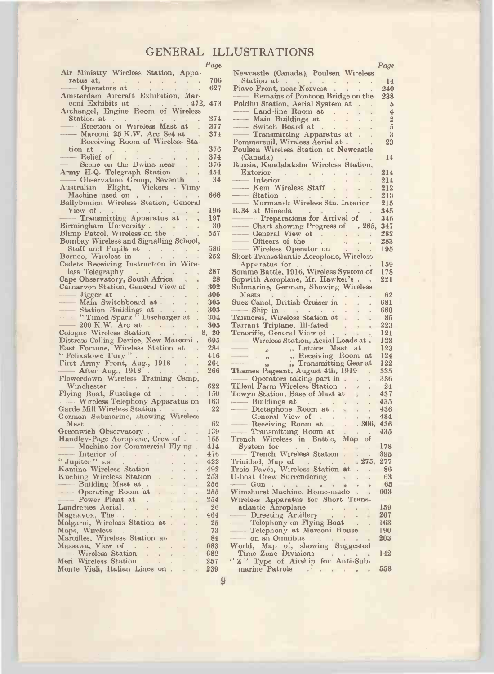### GENERAL ILLUSTRATIONS

|                                                                       | Page          |                                                                                                                                                                                                                                | Page       |
|-----------------------------------------------------------------------|---------------|--------------------------------------------------------------------------------------------------------------------------------------------------------------------------------------------------------------------------------|------------|
| Air Ministry Wireless Station, Appa.                                  |               | Newcastle (Canada), Poulsen Wireless                                                                                                                                                                                           |            |
| ratus at, $\qquad \qquad \ldots$                                      | 706           | Station at                                                                                                                                                                                                                     | $\sqrt{4}$ |
| - Operators at                                                        | 627           | Piave Front, near Nervesa                                                                                                                                                                                                      | 240        |
| Amsterdam Aircraft Exhibition, Mar-                                   |               |                                                                                                                                                                                                                                |            |
|                                                                       |               | - Remains of Pontoon Bridge on the                                                                                                                                                                                             | 238        |
| coni Exhibits at 472, 473                                             |               | Poldhu Station, Aerial System at                                                                                                                                                                                               | 5          |
| Archangel, Engine Room of Wireless                                    |               | ----- Land-line Room at                                                                                                                                                                                                        | 4          |
| Station at                                                            | 374           | - Main Buildings at Allen Main Buildings at Allen                                                                                                                                                                              | 2          |
| - Erection of Wireless Mast at.                                       | 377           | -Switch Board at                                                                                                                                                                                                               |            |
| -- Marconi 25 K.W. Arc Set at.                                        | 374           | - Transmitting Apparatus at                                                                                                                                                                                                    | 3          |
| - Receiving Room of Wireless Sta-                                     |               | Pommereuil, Wireless Aerial at                                                                                                                                                                                                 | 23         |
|                                                                       | 376           | Poulsen Wireless Station at Newcastle                                                                                                                                                                                          |            |
|                                                                       | 374           |                                                                                                                                                                                                                                |            |
|                                                                       |               | $(Canada)$                                                                                                                                                                                                                     | 14         |
| - Scene on the Dwina near                                             | 376           | Russia, Kandalaksha Wireless Station,                                                                                                                                                                                          |            |
| Army H.Q. Telegraph Station.                                          | 454           |                                                                                                                                                                                                                                | 214        |
| -Observation Group, Seventh .                                         | 34            |                                                                                                                                                                                                                                | 214        |
| Australian Flight, Vickers - Vimy                                     |               | - Kem Wireless Staff                                                                                                                                                                                                           | 212        |
| Machine used on                                                       | 668           |                                                                                                                                                                                                                                | 213        |
| Ballybunion Wireless Station, General                                 |               | Station<br>Murmansk Wireless Stn. Interior                                                                                                                                                                                     | 215        |
| View of $\cdots$ $\cdots$ $\cdots$                                    | 196           | R.34 at Mineola                                                                                                                                                                                                                | 345        |
| - Transmitting Apparatus at                                           | 197           | - Preparations for Arrival of.                                                                                                                                                                                                 | 346        |
|                                                                       |               |                                                                                                                                                                                                                                |            |
| Birmingham University                                                 | 30            | - Chart showing Progress of , 285, 347                                                                                                                                                                                         |            |
| Blimp Patrol, Wireless on the                                         | 557           | -- General View of                                                                                                                                                                                                             | 282        |
| Bombay Wireless and Signalling School,                                |               | - Officers of the Alberta Alberta Alberta Alberta Alberta Alberta Alberta Alberta Alberta Alberta Alberta Alberta Alberta Alberta Alberta Alberta Alberta Alberta Alberta Alberta Alberta Alberta Alberta Alberta Alberta Albe | 283        |
| Staff and Pupils at                                                   | 586           | - Wireless Operator on                                                                                                                                                                                                         | 195        |
| Borneo, Wireless in                                                   | 252           | Short Transatlantic Aeroplane, Wireless                                                                                                                                                                                        |            |
| Cadets Receiving Instruction in Wire-                                 |               | Apparatus for                                                                                                                                                                                                                  | 159        |
| less Telegraphy                                                       | 287           | Somme Battle, 1916, Wireless System of                                                                                                                                                                                         | 178        |
| Cape Observatory, South Africa.                                       | 28            | Sopwith Aeroplane, Mr. Hawker's                                                                                                                                                                                                | 221        |
|                                                                       | 302           |                                                                                                                                                                                                                                |            |
| Carnarvon Station, General View of.                                   |               | Submarine, German, Showing Wireless                                                                                                                                                                                            |            |
| $-$ Jigger at $\cdot$ $\cdot$ $\cdot$ $\cdot$ $\cdot$ $\cdot$ $\cdot$ | 306           | Masts                                                                                                                                                                                                                          | 62         |
|                                                                       | 305           | Suez Canal, British Cruiser in                                                                                                                                                                                                 | 681        |
|                                                                       | 303           | $\longrightarrow$ Ship in                                                                                                                                                                                                      | 680        |
|                                                                       | 304           | Taisneres, Wireless Station at                                                                                                                                                                                                 | 85         |
|                                                                       | 305           | Tarrant Triplane, Ill-fated                                                                                                                                                                                                    | 223        |
| Cologne Wireless Station                                              | 8, 20         | Teneriffe, General View of                                                                                                                                                                                                     | 121        |
| Distress Calling Device, New Marconi.                                 | 695           | - Wireless Station, Aerial Leads at.                                                                                                                                                                                           | 123        |
| East Fortune, Wireless Station at.                                    | 284           |                                                                                                                                                                                                                                | 123        |
|                                                                       |               | $ \qquad$ , Lattice Mast at                                                                                                                                                                                                    |            |
| "Felixstowe Fury"                                                     | 416           | $\begin{array}{cccc}\n & \cdots & \cdots & \cdots \\  & \cdots & \cdots & \cdots & \cdots \\ \hline\n & \cdots & \cdots & \cdots & \cdots\n\end{array}$ Receiving Room at                                                      | 124        |
| First Army Front, Aug., 1918.                                         | 264           |                                                                                                                                                                                                                                | 122        |
|                                                                       | 266           | Thames Pageant, August 4th, 1919.                                                                                                                                                                                              | 335        |
| Flowerdown Wireless Training Camp,                                    |               |                                                                                                                                                                                                                                | 336        |
| Winchester                                                            | 622           | Tilleul Farm Wireless Station                                                                                                                                                                                                  | 24         |
| Flying Boat, Fuselage of                                              | 150           | Towyn Station, Base of Mast at                                                                                                                                                                                                 | 437        |
|                                                                       | 163           |                                                                                                                                                                                                                                | 435        |
| Garde Mill Wireless Station                                           | 22            |                                                                                                                                                                                                                                | 436        |
| German Submarine, showing Wireless                                    |               | General View of                                                                                                                                                                                                                | 434        |
| Mast                                                                  | 62            |                                                                                                                                                                                                                                |            |
| and the companion of the companion<br>Greenwich Observatory           | 139           | Receiving Room at 306, 436<br>Transmitting Room at 435                                                                                                                                                                         |            |
|                                                                       |               |                                                                                                                                                                                                                                |            |
| Handley-Page Aeroplane, Crew of                                       | 155           | Trench Wireless in Battle, Map of                                                                                                                                                                                              |            |
| Machine for Commercial Flying.                                        | 414           | System for $\ldots$ $\ldots$ $\ldots$ $\ldots$ 178                                                                                                                                                                             |            |
| $\overline{\phantom{a}}$ Interior of                                  | 476           | Trench Wireless Station                                                                                                                                                                                                        | 395        |
| "Jupiter" s.s.                                                        | 422           | Trinidad, Map of 275, 277                                                                                                                                                                                                      |            |
| Kamina Wireless Station                                               | 492           | Trois Pavés, Wireless Station at 86                                                                                                                                                                                            |            |
| Kuching Wireless Station 253                                          |               | U boat Crew Surrendering<br>Gun 65                                                                                                                                                                                             |            |
| Building Mast at                                                      | 256           |                                                                                                                                                                                                                                |            |
| Operating Room at                                                     | 255           | Wimshurst Machine, Home-made 603                                                                                                                                                                                               |            |
| Power Plant at                                                        | 254           | Wireless Apparatus for Short Trans.                                                                                                                                                                                            |            |
| the company of the com-                                               |               |                                                                                                                                                                                                                                |            |
| Landrecies Aerial.<br>the company of the company                      | 26            | atlantic Aeroplane<br>the contract of the con-                                                                                                                                                                                 | 159        |
| Magnavox, The $\cdots$                                                | 464           | Directing Artillery                                                                                                                                                                                                            | 267        |
| Malgarni, Wireless Station at<br>÷.                                   | 25            | Telephony on Flying Boat.                                                                                                                                                                                                      | 163        |
| Maps, Wireless                                                        | 73            | Telephony at Marconi House.                                                                                                                                                                                                    | 190        |
| Maroilles, Wireless Station at<br>$\sim$                              | 84            | on an Omnibus                                                                                                                                                                                                                  | 203        |
| Massawa, View of<br>$\sim$<br>y.                                      | 683           | World, Map of, showing Suggested                                                                                                                                                                                               |            |
| Wireless Station                                                      | 682           | Time Zone Divisions                                                                                                                                                                                                            | 142        |
| Meri Wireless Station                                                 | 257           | "Z" Type of Airship for Anti-Sub-                                                                                                                                                                                              |            |
| Monte Viali, Italian Lines on.                                        | 239           |                                                                                                                                                                                                                                | 558        |
| $\ddot{\phantom{0}}$                                                  |               | marine Patrols                                                                                                                                                                                                                 |            |
|                                                                       | $\mathcal{Q}$ |                                                                                                                                                                                                                                |            |
|                                                                       |               |                                                                                                                                                                                                                                |            |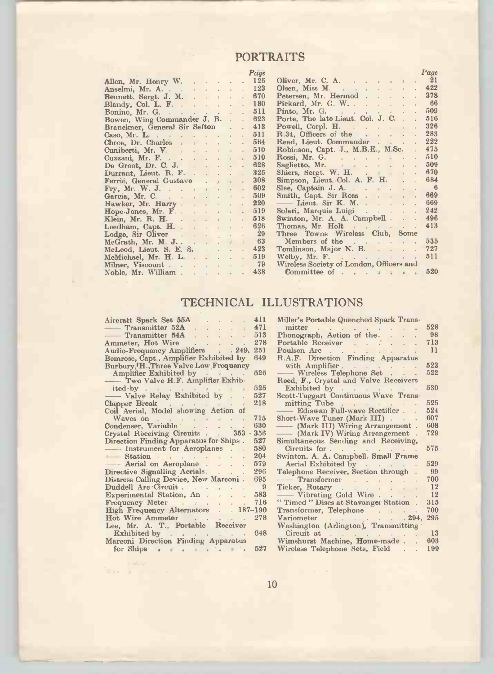### PORTRAITS

|                                           | <i>Page</i> |                                                              | Page |
|-------------------------------------------|-------------|--------------------------------------------------------------|------|
| Allen, Mr. Henry W. 125                   |             | Oliver, Mr. C. A. 21                                         |      |
| Anselmi, Mr. A. 123                       |             | Olsen, Miss M. $\cdots$ $\cdots$ $\cdots$ $\cdots$ 422       |      |
| Bennett, Sergt. J. M. 670                 |             | Petersen, Mr. Hermod 378                                     |      |
| Blandy, Col. L. F $180$                   |             | Pickard, Mr. G. W. 66                                        |      |
| Bonino, Mr. G. 511                        |             | Pinto, Mr. G. 509                                            |      |
| Bowen, Wing Commander J. B. 623           |             | Porte, The late Lieut. Col. J. C. 516                        |      |
| Branckner, General Sir Sefton 413         |             | Powell, Corpl. H. 326                                        |      |
| Caso, Mr. L. 511                          |             | R.34, Officers of the 283                                    |      |
| Chree, Dr. Charles $\sqrt{564}$           |             | Read, Lieut. Commander 222                                   |      |
| Cuniberti, Mr. V. $\cdots$ 510            |             | Robinson, Capt. J., M.B.E., M.Sc. 475                        |      |
| Cuzzani, Mr. F 510                        |             | Rossi, Mr. G. 510                                            |      |
|                                           |             | Saglietto, Mr. 509                                           |      |
| Durrant, Lieut. R. F 325                  |             | Shiers, Sergt. W. H. 670                                     |      |
| Ferrié, General Gustave 308               |             | Simpson, Lieut.-Col. A. F. H. 684                            |      |
| Fry, Mr. W. J 602                         |             | Slee, Captain J. A. $\ldots$ 6                               |      |
| Garcia, Mr. C. 509                        |             | Smith, Capt. Sir Ross 669                                    |      |
| Hawker, Mr. Harry 220                     |             | - Lieut. Sir K. M.                                           | 669  |
| Hope-Jones, Mr. F. 519                    |             | Solari, Marquis Luigi 242                                    |      |
| Klein, Mr. R. H. 518                      |             | Swinton, Mr. A. A. Campbell 496                              |      |
| Leedham, Capt. H. $\ldots$ $\ldots$ $626$ |             | Thomas, Mr. Holt                                             | 413  |
| Lodge, Sir Oliver $\cdots$ 29             |             | Three Towns Wireless Club, Some                              |      |
|                                           |             | McGrath, Mr. M. J 63 Members of the  535                     |      |
| McLeod, Lieut. S. E. S. 423               |             | Tomlinson, Major N. B. 727                                   |      |
|                                           |             |                                                              | 511  |
|                                           |             | Milner, Viscount 79 Wireless Society of London, Officers and |      |
|                                           |             |                                                              | 520  |
|                                           |             |                                                              |      |

## TECHNICAL ILLUSTRATIONS

| 411<br>Aircraft Spark Set 55A                                                                   | Miller's Por                   |
|-------------------------------------------------------------------------------------------------|--------------------------------|
| 471<br>$\longrightarrow$ Transmitter 52A                                                        | mitter                         |
| Transmitter 54A<br>513                                                                          | Phonograp                      |
| 278<br>Ammeter, Hot Wire                                                                        | Portable F                     |
| Audio-Frequency Amplifiers 249,<br>251                                                          | Poulsen A                      |
| Bemrose, Capt., Amplifier Exhibited by<br>649                                                   | R.A.F. Di                      |
| Burbury, <sup>1</sup> H., Three Valve Low Frequency                                             | with An                        |
| 526<br>Amplifier Exhibited by                                                                   | - Wirel                        |
| Two Valve H.F. Amplifier Exhib-                                                                 | Reed, $\mathbb{F}$ .,          |
| 525                                                                                             | Exhibite                       |
| - Valve Relay Exhibited by<br>527                                                               | Scott-Tagg                     |
| Clapper Break<br>218                                                                            | mitting                        |
| Coil Aerial, Model showing Action of                                                            | $\rule{1em}{0.15mm}$ Edisy     |
| 715<br>Waves on                                                                                 | Short-Wav                      |
| Condenser, Variable<br>Crystal Receiving Circuits 353 - 356                                     | $-\frac{1}{2}$ (Mar)           |
|                                                                                                 | $\longrightarrow$ (Mar)        |
| Direction Finding Apparatus for Ships.<br>527                                                   | Simultanec                     |
| 580<br>Instrument for Aeroplanes.                                                               | <b>Circuits</b>                |
| 204<br>$\frac{1}{1}$ Station                                                                    | Swinton, A                     |
| - Aerial on Aeroplane<br>579                                                                    | Aerial E                       |
| 296<br>Directive Signalling Aerials.                                                            | Telephone                      |
| Distress Calling Device, New Marconi. 695                                                       | $-$ Trans                      |
| $\overline{9}$<br>Duddell Arc Circuit                                                           | Ticker, Ro                     |
| 583<br>Experimental Station, An                                                                 | $\overline{\phantom{a}}$ Vibra |
| Frequency Meter<br>716                                                                          | "Timed"                        |
| High Frequency Alternators 187-190<br>Hot Wire Ammeter 278<br>Lee, Mr. A. T., Portable Receiver | Transform                      |
|                                                                                                 | Variometer                     |
|                                                                                                 | Washingto                      |
| Exhibited by 648                                                                                | Circuit $\varepsilon$          |
| Marconi Direction Finding Apparatus                                                             | Wimshurst                      |
| for Ships $\cdot \cdot \cdot \cdot \cdot \cdot \cdot 527$                                       | Wireless T                     |
|                                                                                                 |                                |

| LLUSTRATIONS                                                                                 |                 |  |
|----------------------------------------------------------------------------------------------|-----------------|--|
|                                                                                              |                 |  |
| Miller's Portable Quenched Spark Trans-                                                      |                 |  |
| mitter<br>Phonograph, Action of the.                                                         | 528             |  |
|                                                                                              | - 98            |  |
| Portable Receiver,                                                                           | 713             |  |
| $\frac{1}{2}$ , $\frac{1}{2}$ , $\frac{1}{2}$ , $\frac{1}{2}$ , $\frac{1}{2}$<br>Poulsen Arc | $\overline{11}$ |  |
| R.A.F. Direction Finding Apparatus                                                           |                 |  |
|                                                                                              | 523             |  |
| with Amplifier .<br>Wireless Telephone Set .                                                 | 522             |  |
| Reed, F., Crystal and Valve Receivers                                                        |                 |  |
|                                                                                              | 530             |  |
| Exhibited by<br>Scott-Taggart Continuous Wave Trans-                                         |                 |  |
| mitting Tube                                                                                 | 525             |  |
| - Ediswan Full-wave Rectifier.                                                               | 524             |  |
| Short-Wave Tuner (Mark III)                                                                  | 607             |  |
| - (Mark III) Wiring Arrangement.                                                             | 608             |  |
| - (Mark IV) Wiring Arrangement.                                                              | 729             |  |
| Simultaneous Sending and Receiving,                                                          |                 |  |
| Circuits for                                                                                 | 575             |  |
| Swinton, A. A. Campbell. Small Frame                                                         |                 |  |
| Aerial Exhibited by                                                                          | 529             |  |
| Telephone Receiver, Section through.                                                         | 99              |  |
| $\frac{1}{\sqrt{1-\frac{1}{2}}}$ Transformer $\cdots$ $\cdots$ $\cdots$                      | 700             |  |
| Ticker, Rotary                                                                               | 12              |  |
| Vibrating Gold Wire 12                                                                       |                 |  |
| "Timed " Discs at Stavanger Station.                                                         | 315             |  |
| Transformer, Telephone                                                                       | 700             |  |
| Variometer 294,                                                                              | 295             |  |
| Washington (Arlington), Transmitting                                                         |                 |  |
|                                                                                              | $\overline{13}$ |  |
| Circuit at<br>Wimshurst Machine, Home-made .                                                 | 603             |  |
| Wireless Telephone Sets, Field                                                               | 199             |  |
|                                                                                              |                 |  |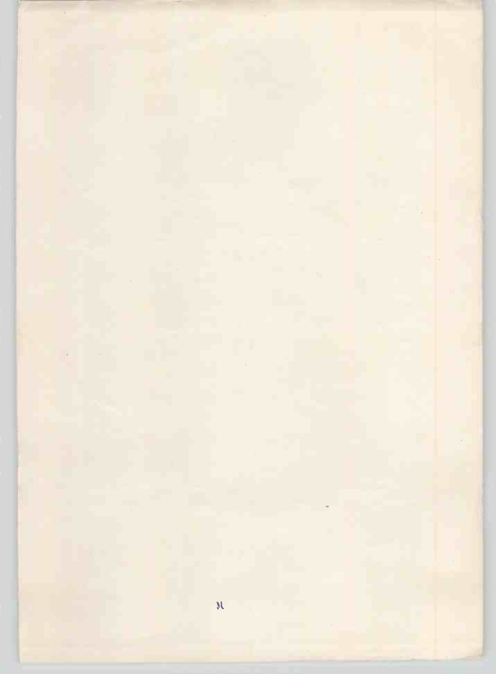